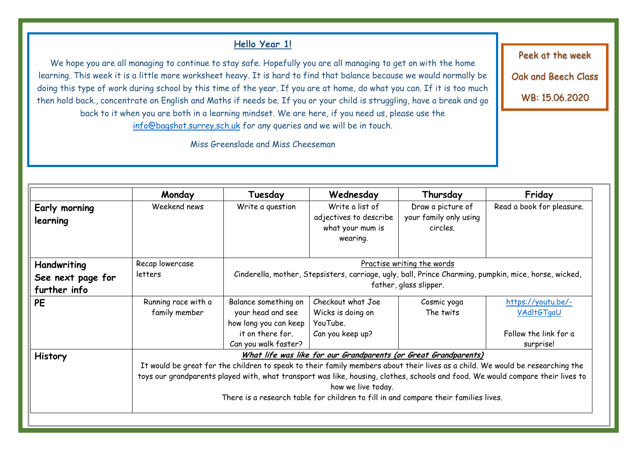# **Hello Year 1!**

We hope you are all managing to continue to stay safe. Hopefully you are all managing to get on with the home learning. This week it is a little more worksheet heavy. It is hard to find that balance because we would normally be doing this type of work during school by this time of the year. If you are at home, do what you can. If it is too much then hold back., concentrate on English and Maths if needs be. If you or your child is struggling, have a break and go back to it when you are both in a learning mindset. We are here, if you need us, please use the [info@bagshot.surrey.sch.uk](mailto:info@bagshot.surrey.sch.uk) for any queries and we will be in touch.

Miss Greenslade and Miss Cheeseman

| Early morning                                                                                                                   | Weekend news                                                                                                                  | Write a question                                                                                      |                        |                            |                           |  |  |
|---------------------------------------------------------------------------------------------------------------------------------|-------------------------------------------------------------------------------------------------------------------------------|-------------------------------------------------------------------------------------------------------|------------------------|----------------------------|---------------------------|--|--|
|                                                                                                                                 |                                                                                                                               |                                                                                                       | Write a list of        | Draw a picture of          | Read a book for pleasure. |  |  |
| learning                                                                                                                        |                                                                                                                               |                                                                                                       | adjectives to describe | your family only using     |                           |  |  |
|                                                                                                                                 |                                                                                                                               |                                                                                                       | what your mum is       | circles.                   |                           |  |  |
|                                                                                                                                 |                                                                                                                               |                                                                                                       | wearing.               |                            |                           |  |  |
|                                                                                                                                 |                                                                                                                               |                                                                                                       |                        |                            |                           |  |  |
| Handwriting                                                                                                                     | Recap lowercase                                                                                                               |                                                                                                       |                        | Practise writing the words |                           |  |  |
| See next page for                                                                                                               | letters                                                                                                                       | Cinderella, mother, Stepsisters, carriage, ugly, ball, Prince Charming, pumpkin, mice, horse, wicked, |                        |                            |                           |  |  |
| further info                                                                                                                    |                                                                                                                               | father, glass slipper.                                                                                |                        |                            |                           |  |  |
| <b>PE</b>                                                                                                                       | Running race with a                                                                                                           | Balance something on                                                                                  | Checkout what Joe      | Cosmic yoga                | https://youtu.be/-        |  |  |
|                                                                                                                                 | family member                                                                                                                 | your head and see                                                                                     | Wicks is doing on      | The twits                  | <b>VAdItGTgaU</b>         |  |  |
|                                                                                                                                 |                                                                                                                               | how long you can keep                                                                                 | YouTube.               |                            |                           |  |  |
|                                                                                                                                 |                                                                                                                               | it on there for.                                                                                      | Can you keep up?       |                            | Follow the link for a     |  |  |
|                                                                                                                                 |                                                                                                                               | Can you walk faster?                                                                                  |                        |                            | surprise!                 |  |  |
| <b>History</b>                                                                                                                  | What life was like for our Grandparents (or Great Grandparents)                                                               |                                                                                                       |                        |                            |                           |  |  |
|                                                                                                                                 | It would be great for the children to speak to their family members about their lives as a child. We would be researching the |                                                                                                       |                        |                            |                           |  |  |
| toys our grandparents played with, what transport was like, housing, clothes, schools and food. We would compare their lives to |                                                                                                                               |                                                                                                       |                        |                            |                           |  |  |
|                                                                                                                                 | how we live today.                                                                                                            |                                                                                                       |                        |                            |                           |  |  |
|                                                                                                                                 | There is a research table for children to fill in and compare their families lives.                                           |                                                                                                       |                        |                            |                           |  |  |
|                                                                                                                                 |                                                                                                                               |                                                                                                       |                        |                            |                           |  |  |

Peek at the week

Oak and Beech Class

WB: 15.06.2020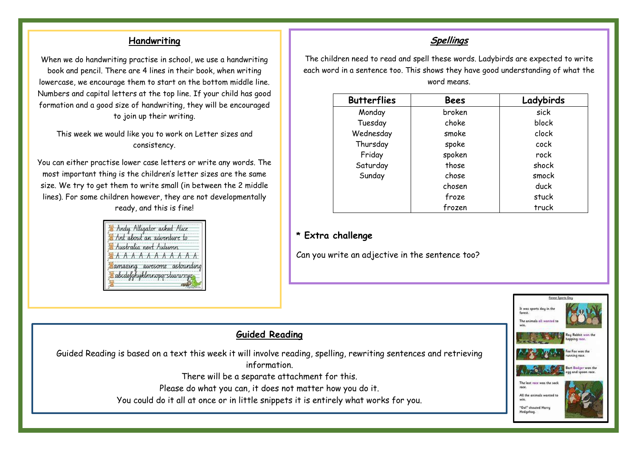#### **Handwriting**

When we do handwriting practise in school, we use a handwriting book and pencil. There are 4 lines in their book, when writing lowercase, we encourage them to start on the bottom middle line. Numbers and capital letters at the top line. If your child has good formation and a good size of handwriting, they will be encouraged to join up their writing.

This week we would like you to work on Letter sizes and consistency.

You can either practise lower case letters or write any words. The most important thing is the children's letter sizes are the same size. We try to get them to write small (in between the 2 middle lines). For some children however, they are not developmentally ready, and this is fine!

|  | Andy Alligator asked Alice<br>Ant about an adventure to |  |  |
|--|---------------------------------------------------------|--|--|
|  | Australia next Autumn                                   |  |  |
|  | EAAAAAAAAAAA                                            |  |  |
|  | amazing awesome astounding<br>abcdefghyklmnopqrstuvwxyz |  |  |
|  |                                                         |  |  |

## **Spellings**

The children need to read and spell these words. Ladybirds are expected to write each word in a sentence too. This shows they have good understanding of what the word means.

| <b>Butterflies</b> | <b>Bees</b> | Ladybirds |
|--------------------|-------------|-----------|
| Monday             | broken      | sick      |
| Tuesday            | choke       | block     |
| Wednesday          | smoke       | clock     |
| Thursday           | spoke       | cock      |
| Friday             | spoken      | rock      |
| Saturday           | those       | shock     |
| Sunday             | chose       | smock     |
|                    | chosen      | duck      |
|                    | froze       | stuck     |
|                    | frozen      | truck     |

#### **\* Extra challenge**

Can you write an adjective in the sentence too?



### **Guided Reading**

Guided Reading is based on a text this week it will involve reading, spelling, rewriting sentences and retrieving information. There will be a separate attachment for this. Please do what you can, it does not matter how you do it. You could do it all at once or in little snippets it is entirely what works for you.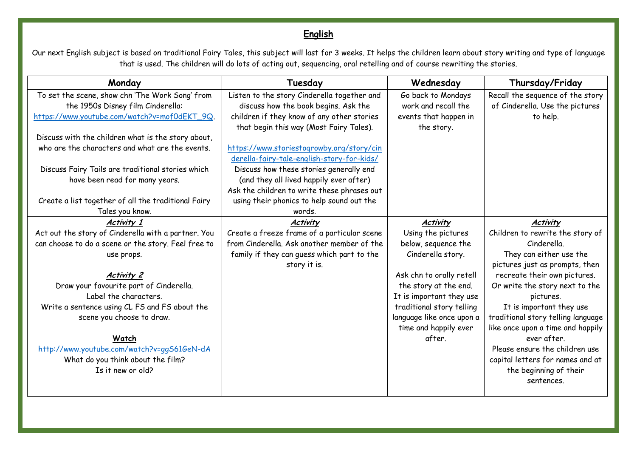# **English**

Our next English subject is based on traditional Fairy Tales, this subject will last for 3 weeks. It helps the children learn about story writing and type of language that is used. The children will do lots of acting out, sequencing, oral retelling and of course rewriting the stories.

| Monday                                              | Tuesday                                     | Wednesday                 | Thursday/Friday                    |
|-----------------------------------------------------|---------------------------------------------|---------------------------|------------------------------------|
| To set the scene, show chn 'The Work Song' from     | Listen to the story Cinderella together and | Go back to Mondays        | Recall the sequence of the story   |
| the 1950s Disney film Cinderella:                   | discuss how the book begins. Ask the        | work and recall the       | of Cinderella. Use the pictures    |
| https://www.youtube.com/watch?v=mof0dEKT_9Q.        | children if they know of any other stories  | events that happen in     | to help.                           |
|                                                     | that begin this way (Most Fairy Tales).     | the story.                |                                    |
| Discuss with the children what is the story about,  |                                             |                           |                                    |
| who are the characters and what are the events.     | https://www.storiestogrowby.org/story/cin   |                           |                                    |
|                                                     | derella-fairy-tale-english-story-for-kids/  |                           |                                    |
| Discuss Fairy Tails are traditional stories which   | Discuss how these stories generally end     |                           |                                    |
| have been read for many years.                      | (and they all lived happily ever after)     |                           |                                    |
|                                                     | Ask the children to write these phrases out |                           |                                    |
| Create a list together of all the traditional Fairy | using their phonics to help sound out the   |                           |                                    |
| Tales you know.                                     | words.                                      |                           |                                    |
| <b>Activity 1</b>                                   | <b>Activity</b>                             | <b>Activity</b>           | <b>Activity</b>                    |
| Act out the story of Cinderella with a partner. You | Create a freeze frame of a particular scene | Using the pictures        | Children to rewrite the story of   |
| can choose to do a scene or the story. Feel free to | from Cinderella. Ask another member of the  | below, sequence the       | Cinderella.                        |
| use props.                                          | family if they can guess which part to the  | Cinderella story.         | They can either use the            |
|                                                     | story it is.                                |                           | pictures just as prompts, then     |
| <b>Activity 2</b>                                   |                                             | Ask chn to orally retell  | recreate their own pictures.       |
| Draw your favourite part of Cinderella.             |                                             | the story at the end.     | Or write the story next to the     |
| Label the characters.                               |                                             | It is important they use  | pictures.                          |
| Write a sentence using CL FS and FS about the       |                                             | traditional story telling | It is important they use           |
| scene you choose to draw.                           |                                             | language like once upon a | traditional story telling language |
|                                                     |                                             | time and happily ever     | like once upon a time and happily  |
| Watch                                               |                                             | after.                    | ever after.                        |
| http://www.youtube.com/watch?v=ggS61GeN-dA          |                                             |                           | Please ensure the children use     |
| What do you think about the film?                   |                                             |                           | capital letters for names and at   |
| Is it new or old?                                   |                                             |                           | the beginning of their             |
|                                                     |                                             |                           | sentences.                         |
|                                                     |                                             |                           |                                    |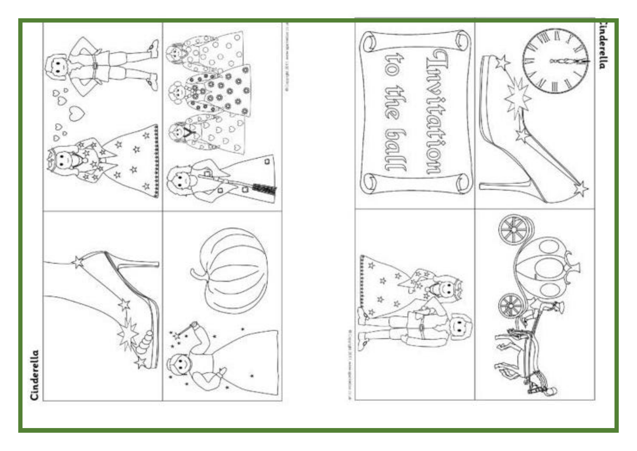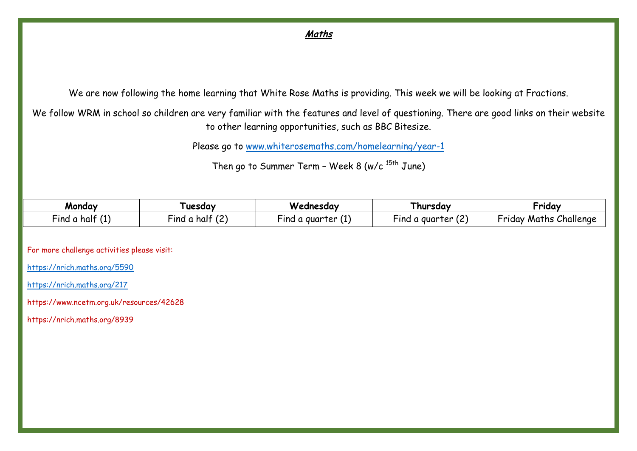# **Maths**

We are now following the home learning that White Rose Maths is providing. This week we will be looking at Fractions.

We follow WRM in school so children are very familiar with the features and level of questioning. There are good links on their website to other learning opportunities, such as BBC Bitesize.

Please go to [www.whiterosemaths.com/homelearning/year-1](http://www.whiterosemaths.com/homelearning/year-1)

Then go to Summer Term - Week 8 (w/c  $15th$  June)

| Monday           | uesday                               | Wednesday                 | l hursday                         | Friday                 |
|------------------|--------------------------------------|---------------------------|-----------------------------------|------------------------|
| Find a half<br>. | $\mathbf{r}$ in<br>Find a half<br>14 | -ind a quarter $\sqrt{ }$ | $\cdots$<br>Find a quarter<br>1 C | Friday Maths Challenge |

For more challenge activities please visit:

<https://nrich.maths.org/5590>

<https://nrich.maths.org/217>

https://www.ncetm.org.uk/resources/42628

https://nrich.maths.org/8939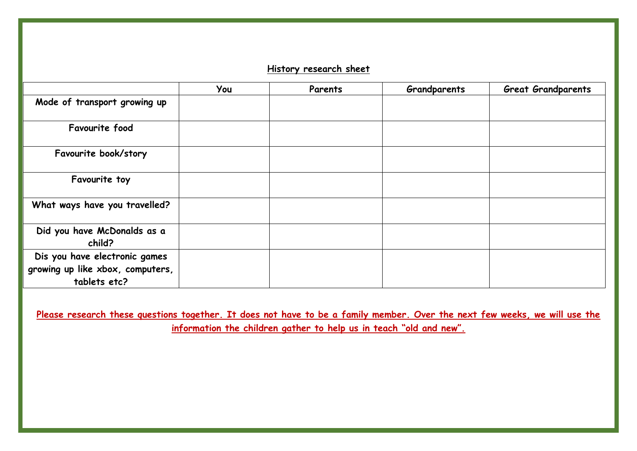### **History research sheet**

|                                                                                   | You | Parents | Grandparents | <b>Great Grandparents</b> |
|-----------------------------------------------------------------------------------|-----|---------|--------------|---------------------------|
| Mode of transport growing up                                                      |     |         |              |                           |
| Favourite food                                                                    |     |         |              |                           |
| Favourite book/story                                                              |     |         |              |                           |
| Favourite toy                                                                     |     |         |              |                           |
| What ways have you travelled?                                                     |     |         |              |                           |
| Did you have McDonalds as a<br>child?                                             |     |         |              |                           |
| Dis you have electronic games<br>growing up like xbox, computers,<br>tablets etc? |     |         |              |                           |

Please research these questions together. It does not have to be a family member. Over the next few weeks, we will use the **information the children gather to help us in teach "old and new".**